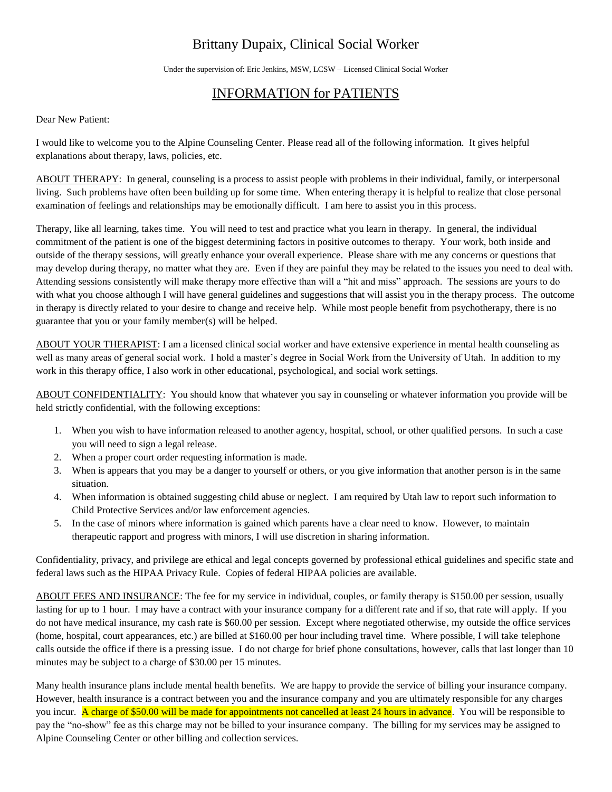## Brittany Dupaix, Clinical Social Worker

Under the supervision of: Eric Jenkins, MSW, LCSW – Licensed Clinical Social Worker

## INFORMATION for PATIENTS

Dear New Patient:

I would like to welcome you to the Alpine Counseling Center. Please read all of the following information. It gives helpful explanations about therapy, laws, policies, etc.

ABOUT THERAPY: In general, counseling is a process to assist people with problems in their individual, family, or interpersonal living. Such problems have often been building up for some time. When entering therapy it is helpful to realize that close personal examination of feelings and relationships may be emotionally difficult. I am here to assist you in this process.

Therapy, like all learning, takes time. You will need to test and practice what you learn in therapy. In general, the individual commitment of the patient is one of the biggest determining factors in positive outcomes to therapy. Your work, both inside and outside of the therapy sessions, will greatly enhance your overall experience. Please share with me any concerns or questions that may develop during therapy, no matter what they are. Even if they are painful they may be related to the issues you need to deal with. Attending sessions consistently will make therapy more effective than will a "hit and miss" approach. The sessions are yours to do with what you choose although I will have general guidelines and suggestions that will assist you in the therapy process. The outcome in therapy is directly related to your desire to change and receive help. While most people benefit from psychotherapy, there is no guarantee that you or your family member(s) will be helped.

ABOUT YOUR THERAPIST: I am a licensed clinical social worker and have extensive experience in mental health counseling as well as many areas of general social work. I hold a master's degree in Social Work from the University of Utah. In addition to my work in this therapy office, I also work in other educational, psychological, and social work settings.

ABOUT CONFIDENTIALITY: You should know that whatever you say in counseling or whatever information you provide will be held strictly confidential, with the following exceptions:

- 1. When you wish to have information released to another agency, hospital, school, or other qualified persons. In such a case you will need to sign a legal release.
- 2. When a proper court order requesting information is made.
- 3. When is appears that you may be a danger to yourself or others, or you give information that another person is in the same situation.
- 4. When information is obtained suggesting child abuse or neglect. I am required by Utah law to report such information to Child Protective Services and/or law enforcement agencies.
- 5. In the case of minors where information is gained which parents have a clear need to know. However, to maintain therapeutic rapport and progress with minors, I will use discretion in sharing information.

Confidentiality, privacy, and privilege are ethical and legal concepts governed by professional ethical guidelines and specific state and federal laws such as the HIPAA Privacy Rule. Copies of federal HIPAA policies are available.

ABOUT FEES AND INSURANCE: The fee for my service in individual, couples, or family therapy is \$150.00 per session, usually lasting for up to 1 hour. I may have a contract with your insurance company for a different rate and if so, that rate will apply. If you do not have medical insurance, my cash rate is \$60.00 per session. Except where negotiated otherwise, my outside the office services (home, hospital, court appearances, etc.) are billed at \$160.00 per hour including travel time. Where possible, I will take telephone calls outside the office if there is a pressing issue. I do not charge for brief phone consultations, however, calls that last longer than 10 minutes may be subject to a charge of \$30.00 per 15 minutes.

Many health insurance plans include mental health benefits. We are happy to provide the service of billing your insurance company. However, health insurance is a contract between you and the insurance company and you are ultimately responsible for any charges you incur. A charge of \$50.00 will be made for appointments not cancelled at least 24 hours in advance. You will be responsible to pay the "no-show" fee as this charge may not be billed to your insurance company. The billing for my services may be assigned to Alpine Counseling Center or other billing and collection services.